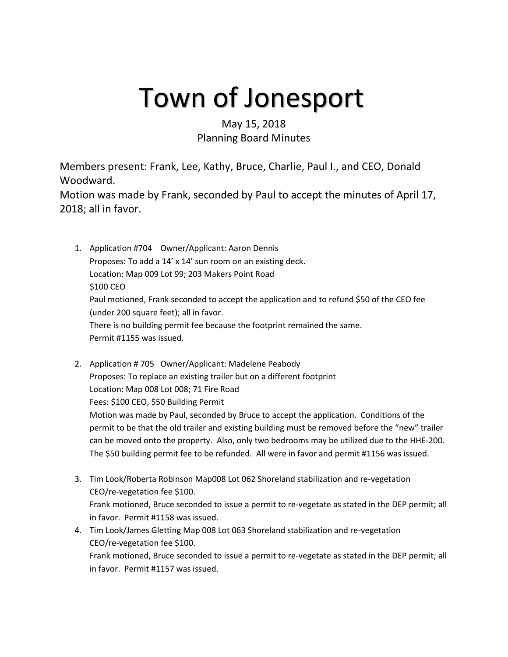## Town of Jonesport

## May 15, 2018 Planning Board Minutes

Members present: Frank, Lee, Kathy, Bruce, Charlie, Paul I., and CEO, Donald Woodward.

Motion was made by Frank, seconded by Paul to accept the minutes of April 17, 2018; all in favor.

- 1. Application #704 Owner/Applicant: Aaron Dennis Proposes: To add a 14' x 14' sun room on an existing deck. Location: Map 009 Lot 99; 203 Makers Point Road \$100 CEO Paul motioned, Frank seconded to accept the application and to refund \$50 of the CEO fee (under 200 square feet); all in favor. There is no building permit fee because the footprint remained the same. Permit #1155 was issued.
- 2. Application # 705 Owner/Applicant: Madelene Peabody Proposes: To replace an existing trailer but on a different footprint Location: Map 008 Lot 008; 71 Fire Road Fees: \$100 CEO, \$50 Building Permit Motion was made by Paul, seconded by Bruce to accept the application. Conditions of the permit to be that the old trailer and existing building must be removed before the "new" trailer can be moved onto the property. Also, only two bedrooms may be utilized due to the HHE-200. The \$50 building permit fee to be refunded. All were in favor and permit #1156 was issued.
- 3. Tim Look/Roberta Robinson Map008 Lot 062 Shoreland stabilization and re-vegetation CEO/re-vegetation fee \$100. Frank motioned, Bruce seconded to issue a permit to re-vegetate as stated in the DEP permit; all in favor. Permit #1158 was issued.
- 4. Tim Look/James Gletting Map 008 Lot 063 Shoreland stabilization and re-vegetation CEO/re-vegetation fee \$100. Frank motioned, Bruce seconded to issue a permit to re-vegetate as stated in the DEP permit; all in favor. Permit #1157 was issued.